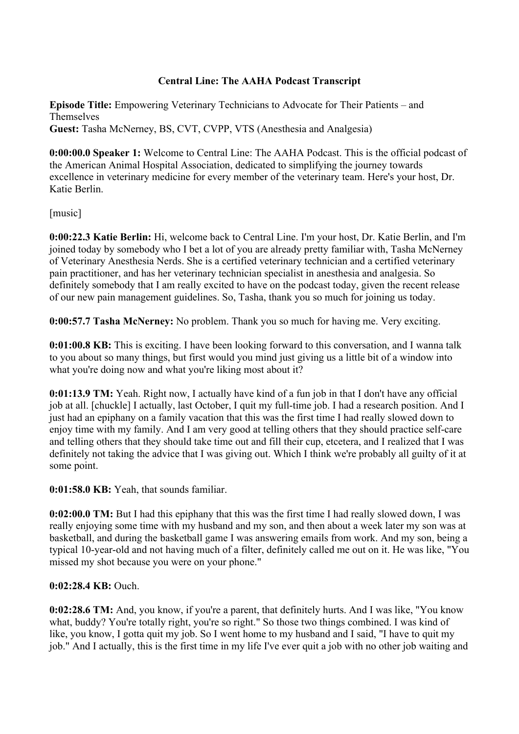# **Central Line: The AAHA Podcast Transcript**

**Episode Title:** Empowering Veterinary Technicians to Advocate for Their Patients – and Themselves **Guest:** Tasha McNerney, BS, CVT, CVPP, VTS (Anesthesia and Analgesia)

**0:00:00.0 Speaker 1:** Welcome to Central Line: The AAHA Podcast. This is the official podcast of the American Animal Hospital Association, dedicated to simplifying the journey towards excellence in veterinary medicine for every member of the veterinary team. Here's your host, Dr. Katie Berlin.

[music]

**0:00:22.3 Katie Berlin:** Hi, welcome back to Central Line. I'm your host, Dr. Katie Berlin, and I'm joined today by somebody who I bet a lot of you are already pretty familiar with, Tasha McNerney of Veterinary Anesthesia Nerds. She is a certified veterinary technician and a certified veterinary pain practitioner, and has her veterinary technician specialist in anesthesia and analgesia. So definitely somebody that I am really excited to have on the podcast today, given the recent release of our new pain management guidelines. So, Tasha, thank you so much for joining us today.

**0:00:57.7 Tasha McNerney:** No problem. Thank you so much for having me. Very exciting.

**0:01:00.8 KB:** This is exciting. I have been looking forward to this conversation, and I wanna talk to you about so many things, but first would you mind just giving us a little bit of a window into what you're doing now and what you're liking most about it?

**0:01:13.9 TM:** Yeah. Right now, I actually have kind of a fun job in that I don't have any official job at all. [chuckle] I actually, last October, I quit my full-time job. I had a research position. And I just had an epiphany on a family vacation that this was the first time I had really slowed down to enjoy time with my family. And I am very good at telling others that they should practice self-care and telling others that they should take time out and fill their cup, etcetera, and I realized that I was definitely not taking the advice that I was giving out. Which I think we're probably all guilty of it at some point.

**0:01:58.0 KB:** Yeah, that sounds familiar.

**0:02:00.0 TM:** But I had this epiphany that this was the first time I had really slowed down, I was really enjoying some time with my husband and my son, and then about a week later my son was at basketball, and during the basketball game I was answering emails from work. And my son, being a typical 10-year-old and not having much of a filter, definitely called me out on it. He was like, "You missed my shot because you were on your phone."

# **0:02:28.4 KB:** Ouch.

**0:02:28.6 TM:** And, you know, if you're a parent, that definitely hurts. And I was like, "You know" what, buddy? You're totally right, you're so right." So those two things combined. I was kind of like, you know, I gotta quit my job. So I went home to my husband and I said, "I have to quit my job." And I actually, this is the first time in my life I've ever quit a job with no other job waiting and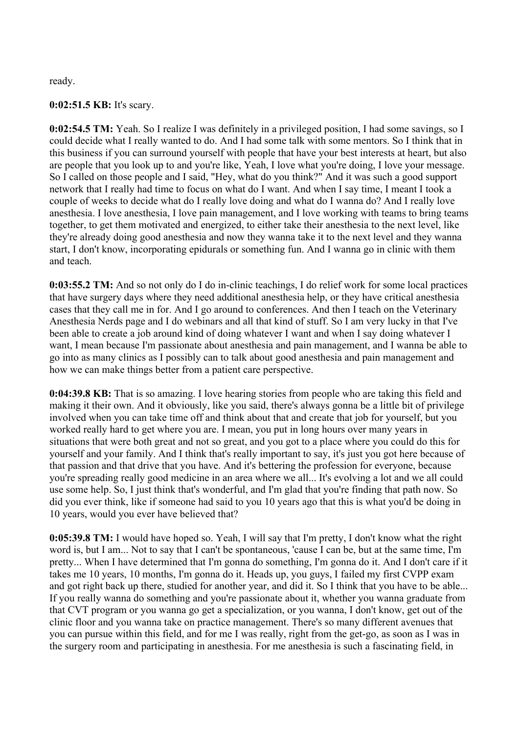ready.

### **0:02:51.5 KB:** It's scary.

**0:02:54.5 TM:** Yeah. So I realize I was definitely in a privileged position, I had some savings, so I could decide what I really wanted to do. And I had some talk with some mentors. So I think that in this business if you can surround yourself with people that have your best interests at heart, but also are people that you look up to and you're like, Yeah, I love what you're doing, I love your message. So I called on those people and I said, "Hey, what do you think?" And it was such a good support network that I really had time to focus on what do I want. And when I say time, I meant I took a couple of weeks to decide what do I really love doing and what do I wanna do? And I really love anesthesia. I love anesthesia, I love pain management, and I love working with teams to bring teams together, to get them motivated and energized, to either take their anesthesia to the next level, like they're already doing good anesthesia and now they wanna take it to the next level and they wanna start, I don't know, incorporating epidurals or something fun. And I wanna go in clinic with them and teach.

**0:03:55.2 TM:** And so not only do I do in-clinic teachings, I do relief work for some local practices that have surgery days where they need additional anesthesia help, or they have critical anesthesia cases that they call me in for. And I go around to conferences. And then I teach on the Veterinary Anesthesia Nerds page and I do webinars and all that kind of stuff. So I am very lucky in that I've been able to create a job around kind of doing whatever I want and when I say doing whatever I want, I mean because I'm passionate about anesthesia and pain management, and I wanna be able to go into as many clinics as I possibly can to talk about good anesthesia and pain management and how we can make things better from a patient care perspective.

**0:04:39.8 KB:** That is so amazing. I love hearing stories from people who are taking this field and making it their own. And it obviously, like you said, there's always gonna be a little bit of privilege involved when you can take time off and think about that and create that job for yourself, but you worked really hard to get where you are. I mean, you put in long hours over many years in situations that were both great and not so great, and you got to a place where you could do this for yourself and your family. And I think that's really important to say, it's just you got here because of that passion and that drive that you have. And it's bettering the profession for everyone, because you're spreading really good medicine in an area where we all... It's evolving a lot and we all could use some help. So, I just think that's wonderful, and I'm glad that you're finding that path now. So did you ever think, like if someone had said to you 10 years ago that this is what you'd be doing in 10 years, would you ever have believed that?

**0:05:39.8 TM:** I would have hoped so. Yeah, I will say that I'm pretty, I don't know what the right word is, but I am... Not to say that I can't be spontaneous, 'cause I can be, but at the same time, I'm pretty... When I have determined that I'm gonna do something, I'm gonna do it. And I don't care if it takes me 10 years, 10 months, I'm gonna do it. Heads up, you guys, I failed my first CVPP exam and got right back up there, studied for another year, and did it. So I think that you have to be able... If you really wanna do something and you're passionate about it, whether you wanna graduate from that CVT program or you wanna go get a specialization, or you wanna, I don't know, get out of the clinic floor and you wanna take on practice management. There's so many different avenues that you can pursue within this field, and for me I was really, right from the get-go, as soon as I was in the surgery room and participating in anesthesia. For me anesthesia is such a fascinating field, in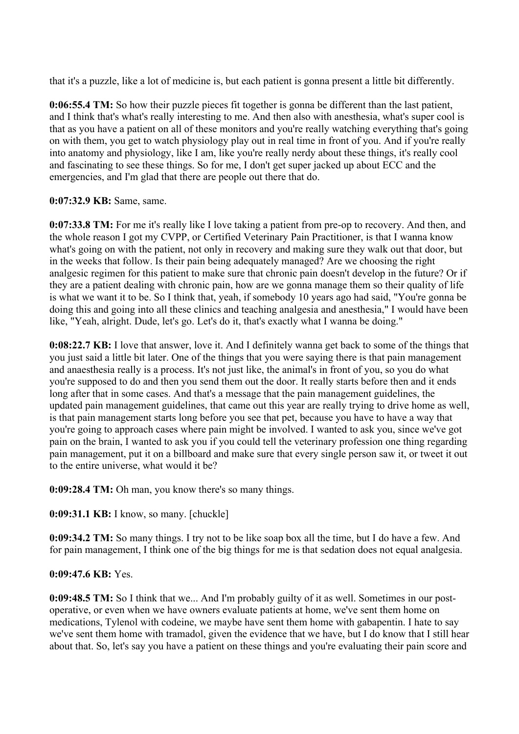that it's a puzzle, like a lot of medicine is, but each patient is gonna present a little bit differently.

**0:06:55.4 TM:** So how their puzzle pieces fit together is gonna be different than the last patient, and I think that's what's really interesting to me. And then also with anesthesia, what's super cool is that as you have a patient on all of these monitors and you're really watching everything that's going on with them, you get to watch physiology play out in real time in front of you. And if you're really into anatomy and physiology, like I am, like you're really nerdy about these things, it's really cool and fascinating to see these things. So for me, I don't get super jacked up about ECC and the emergencies, and I'm glad that there are people out there that do.

### **0:07:32.9 KB:** Same, same.

**0:07:33.8 TM:** For me it's really like I love taking a patient from pre-op to recovery. And then, and the whole reason I got my CVPP, or Certified Veterinary Pain Practitioner, is that I wanna know what's going on with the patient, not only in recovery and making sure they walk out that door, but in the weeks that follow. Is their pain being adequately managed? Are we choosing the right analgesic regimen for this patient to make sure that chronic pain doesn't develop in the future? Or if they are a patient dealing with chronic pain, how are we gonna manage them so their quality of life is what we want it to be. So I think that, yeah, if somebody 10 years ago had said, "You're gonna be doing this and going into all these clinics and teaching analgesia and anesthesia," I would have been like, "Yeah, alright. Dude, let's go. Let's do it, that's exactly what I wanna be doing."

**0:08:22.7 KB:** I love that answer, love it. And I definitely wanna get back to some of the things that you just said a little bit later. One of the things that you were saying there is that pain management and anaesthesia really is a process. It's not just like, the animal's in front of you, so you do what you're supposed to do and then you send them out the door. It really starts before then and it ends long after that in some cases. And that's a message that the pain management guidelines, the updated pain management guidelines, that came out this year are really trying to drive home as well, is that pain management starts long before you see that pet, because you have to have a way that you're going to approach cases where pain might be involved. I wanted to ask you, since we've got pain on the brain, I wanted to ask you if you could tell the veterinary profession one thing regarding pain management, put it on a billboard and make sure that every single person saw it, or tweet it out to the entire universe, what would it be?

**0:09:28.4 TM:** Oh man, you know there's so many things.

**0:09:31.1 KB:** I know, so many. [chuckle]

**0:09:34.2 TM:** So many things. I try not to be like soap box all the time, but I do have a few. And for pain management, I think one of the big things for me is that sedation does not equal analgesia.

# **0:09:47.6 KB:** Yes.

**0:09:48.5 TM:** So I think that we... And I'm probably guilty of it as well. Sometimes in our postoperative, or even when we have owners evaluate patients at home, we've sent them home on medications, Tylenol with codeine, we maybe have sent them home with gabapentin. I hate to say we've sent them home with tramadol, given the evidence that we have, but I do know that I still hear about that. So, let's say you have a patient on these things and you're evaluating their pain score and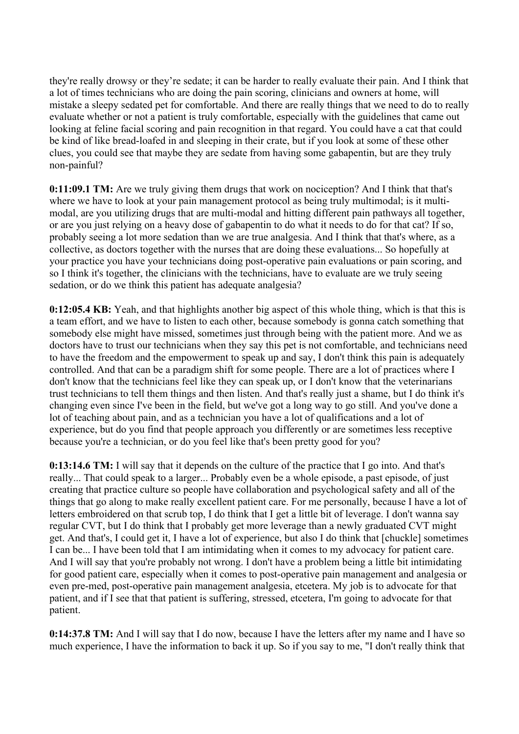they're really drowsy or they're sedate; it can be harder to really evaluate their pain. And I think that a lot of times technicians who are doing the pain scoring, clinicians and owners at home, will mistake a sleepy sedated pet for comfortable. And there are really things that we need to do to really evaluate whether or not a patient is truly comfortable, especially with the guidelines that came out looking at feline facial scoring and pain recognition in that regard. You could have a cat that could be kind of like bread-loafed in and sleeping in their crate, but if you look at some of these other clues, you could see that maybe they are sedate from having some gabapentin, but are they truly non-painful?

**0:11:09.1 TM:** Are we truly giving them drugs that work on nociception? And I think that that's where we have to look at your pain management protocol as being truly multimodal; is it multimodal, are you utilizing drugs that are multi-modal and hitting different pain pathways all together, or are you just relying on a heavy dose of gabapentin to do what it needs to do for that cat? If so, probably seeing a lot more sedation than we are true analgesia. And I think that that's where, as a collective, as doctors together with the nurses that are doing these evaluations... So hopefully at your practice you have your technicians doing post-operative pain evaluations or pain scoring, and so I think it's together, the clinicians with the technicians, have to evaluate are we truly seeing sedation, or do we think this patient has adequate analgesia?

**0:12:05.4 KB:** Yeah, and that highlights another big aspect of this whole thing, which is that this is a team effort, and we have to listen to each other, because somebody is gonna catch something that somebody else might have missed, sometimes just through being with the patient more. And we as doctors have to trust our technicians when they say this pet is not comfortable, and technicians need to have the freedom and the empowerment to speak up and say, I don't think this pain is adequately controlled. And that can be a paradigm shift for some people. There are a lot of practices where I don't know that the technicians feel like they can speak up, or I don't know that the veterinarians trust technicians to tell them things and then listen. And that's really just a shame, but I do think it's changing even since I've been in the field, but we've got a long way to go still. And you've done a lot of teaching about pain, and as a technician you have a lot of qualifications and a lot of experience, but do you find that people approach you differently or are sometimes less receptive because you're a technician, or do you feel like that's been pretty good for you?

**0:13:14.6 TM:** I will say that it depends on the culture of the practice that I go into. And that's really... That could speak to a larger... Probably even be a whole episode, a past episode, of just creating that practice culture so people have collaboration and psychological safety and all of the things that go along to make really excellent patient care. For me personally, because I have a lot of letters embroidered on that scrub top, I do think that I get a little bit of leverage. I don't wanna say regular CVT, but I do think that I probably get more leverage than a newly graduated CVT might get. And that's, I could get it, I have a lot of experience, but also I do think that [chuckle] sometimes I can be... I have been told that I am intimidating when it comes to my advocacy for patient care. And I will say that you're probably not wrong. I don't have a problem being a little bit intimidating for good patient care, especially when it comes to post-operative pain management and analgesia or even pre-med, post-operative pain management analgesia, etcetera. My job is to advocate for that patient, and if I see that that patient is suffering, stressed, etcetera, I'm going to advocate for that patient.

**0:14:37.8 TM:** And I will say that I do now, because I have the letters after my name and I have so much experience, I have the information to back it up. So if you say to me, "I don't really think that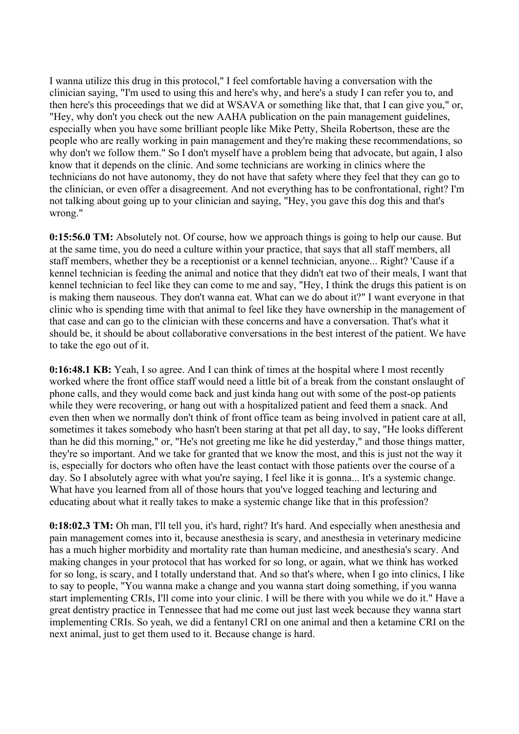I wanna utilize this drug in this protocol," I feel comfortable having a conversation with the clinician saying, "I'm used to using this and here's why, and here's a study I can refer you to, and then here's this proceedings that we did at WSAVA or something like that, that I can give you," or, "Hey, why don't you check out the new AAHA publication on the pain management guidelines, especially when you have some brilliant people like Mike Petty, Sheila Robertson, these are the people who are really working in pain management and they're making these recommendations, so why don't we follow them." So I don't myself have a problem being that advocate, but again, I also know that it depends on the clinic. And some technicians are working in clinics where the technicians do not have autonomy, they do not have that safety where they feel that they can go to the clinician, or even offer a disagreement. And not everything has to be confrontational, right? I'm not talking about going up to your clinician and saying, "Hey, you gave this dog this and that's wrong."

**0:15:56.0 TM:** Absolutely not. Of course, how we approach things is going to help our cause. But at the same time, you do need a culture within your practice, that says that all staff members, all staff members, whether they be a receptionist or a kennel technician, anyone... Right? 'Cause if a kennel technician is feeding the animal and notice that they didn't eat two of their meals, I want that kennel technician to feel like they can come to me and say, "Hey, I think the drugs this patient is on is making them nauseous. They don't wanna eat. What can we do about it?" I want everyone in that clinic who is spending time with that animal to feel like they have ownership in the management of that case and can go to the clinician with these concerns and have a conversation. That's what it should be, it should be about collaborative conversations in the best interest of the patient. We have to take the ego out of it.

**0:16:48.1 KB:** Yeah, I so agree. And I can think of times at the hospital where I most recently worked where the front office staff would need a little bit of a break from the constant onslaught of phone calls, and they would come back and just kinda hang out with some of the post-op patients while they were recovering, or hang out with a hospitalized patient and feed them a snack. And even then when we normally don't think of front office team as being involved in patient care at all, sometimes it takes somebody who hasn't been staring at that pet all day, to say, "He looks different than he did this morning," or, "He's not greeting me like he did yesterday," and those things matter, they're so important. And we take for granted that we know the most, and this is just not the way it is, especially for doctors who often have the least contact with those patients over the course of a day. So I absolutely agree with what you're saying, I feel like it is gonna... It's a systemic change. What have you learned from all of those hours that you've logged teaching and lecturing and educating about what it really takes to make a systemic change like that in this profession?

**0:18:02.3 TM:** Oh man, I'll tell you, it's hard, right? It's hard. And especially when anesthesia and pain management comes into it, because anesthesia is scary, and anesthesia in veterinary medicine has a much higher morbidity and mortality rate than human medicine, and anesthesia's scary. And making changes in your protocol that has worked for so long, or again, what we think has worked for so long, is scary, and I totally understand that. And so that's where, when I go into clinics, I like to say to people, "You wanna make a change and you wanna start doing something, if you wanna start implementing CRIs, I'll come into your clinic. I will be there with you while we do it." Have a great dentistry practice in Tennessee that had me come out just last week because they wanna start implementing CRIs. So yeah, we did a fentanyl CRI on one animal and then a ketamine CRI on the next animal, just to get them used to it. Because change is hard.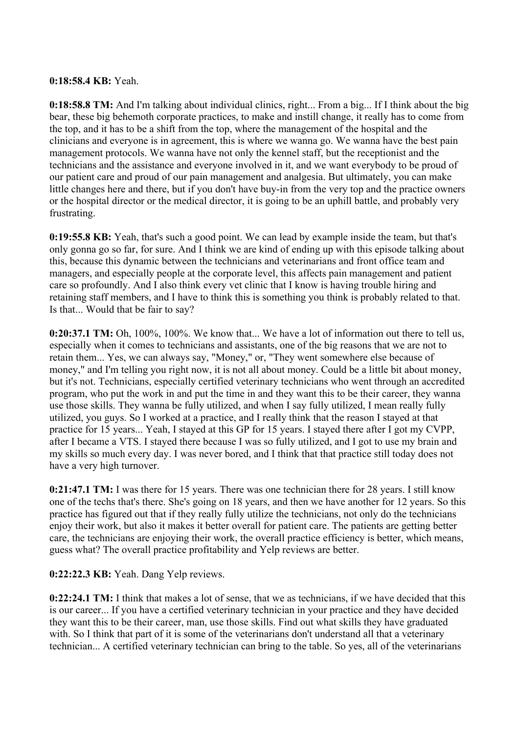### **0:18:58.4 KB:** Yeah.

**0:18:58.8 TM:** And I'm talking about individual clinics, right... From a big... If I think about the big bear, these big behemoth corporate practices, to make and instill change, it really has to come from the top, and it has to be a shift from the top, where the management of the hospital and the clinicians and everyone is in agreement, this is where we wanna go. We wanna have the best pain management protocols. We wanna have not only the kennel staff, but the receptionist and the technicians and the assistance and everyone involved in it, and we want everybody to be proud of our patient care and proud of our pain management and analgesia. But ultimately, you can make little changes here and there, but if you don't have buy-in from the very top and the practice owners or the hospital director or the medical director, it is going to be an uphill battle, and probably very frustrating.

**0:19:55.8 KB:** Yeah, that's such a good point. We can lead by example inside the team, but that's only gonna go so far, for sure. And I think we are kind of ending up with this episode talking about this, because this dynamic between the technicians and veterinarians and front office team and managers, and especially people at the corporate level, this affects pain management and patient care so profoundly. And I also think every vet clinic that I know is having trouble hiring and retaining staff members, and I have to think this is something you think is probably related to that. Is that... Would that be fair to say?

**0:20:37.1 TM:** Oh, 100%, 100%. We know that... We have a lot of information out there to tell us, especially when it comes to technicians and assistants, one of the big reasons that we are not to retain them... Yes, we can always say, "Money," or, "They went somewhere else because of money," and I'm telling you right now, it is not all about money. Could be a little bit about money, but it's not. Technicians, especially certified veterinary technicians who went through an accredited program, who put the work in and put the time in and they want this to be their career, they wanna use those skills. They wanna be fully utilized, and when I say fully utilized, I mean really fully utilized, you guys. So I worked at a practice, and I really think that the reason I stayed at that practice for 15 years... Yeah, I stayed at this GP for 15 years. I stayed there after I got my CVPP, after I became a VTS. I stayed there because I was so fully utilized, and I got to use my brain and my skills so much every day. I was never bored, and I think that that practice still today does not have a very high turnover.

**0:21:47.1 TM:** I was there for 15 years. There was one technician there for 28 years. I still know one of the techs that's there. She's going on 18 years, and then we have another for 12 years. So this practice has figured out that if they really fully utilize the technicians, not only do the technicians enjoy their work, but also it makes it better overall for patient care. The patients are getting better care, the technicians are enjoying their work, the overall practice efficiency is better, which means, guess what? The overall practice profitability and Yelp reviews are better.

# **0:22:22.3 KB:** Yeah. Dang Yelp reviews.

**0:22:24.1 TM:** I think that makes a lot of sense, that we as technicians, if we have decided that this is our career... If you have a certified veterinary technician in your practice and they have decided they want this to be their career, man, use those skills. Find out what skills they have graduated with. So I think that part of it is some of the veterinarians don't understand all that a veterinary technician... A certified veterinary technician can bring to the table. So yes, all of the veterinarians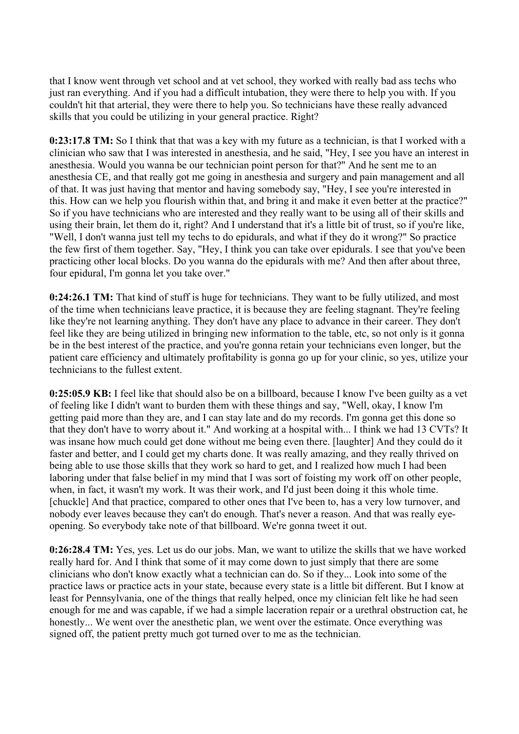that I know went through vet school and at vet school, they worked with really bad ass techs who just ran everything. And if you had a difficult intubation, they were there to help you with. If you couldn't hit that arterial, they were there to help you. So technicians have these really advanced skills that you could be utilizing in your general practice. Right?

**0:23:17.8 TM:** So I think that that was a key with my future as a technician, is that I worked with a clinician who saw that I was interested in anesthesia, and he said, "Hey, I see you have an interest in anesthesia. Would you wanna be our technician point person for that?" And he sent me to an anesthesia CE, and that really got me going in anesthesia and surgery and pain management and all of that. It was just having that mentor and having somebody say, "Hey, I see you're interested in this. How can we help you flourish within that, and bring it and make it even better at the practice?" So if you have technicians who are interested and they really want to be using all of their skills and using their brain, let them do it, right? And I understand that it's a little bit of trust, so if you're like, "Well, I don't wanna just tell my techs to do epidurals, and what if they do it wrong?" So practice the few first of them together. Say, "Hey, I think you can take over epidurals. I see that you've been practicing other local blocks. Do you wanna do the epidurals with me? And then after about three, four epidural, I'm gonna let you take over."

**0:24:26.1 TM:** That kind of stuff is huge for technicians. They want to be fully utilized, and most of the time when technicians leave practice, it is because they are feeling stagnant. They're feeling like they're not learning anything. They don't have any place to advance in their career. They don't feel like they are being utilized in bringing new information to the table, etc, so not only is it gonna be in the best interest of the practice, and you're gonna retain your technicians even longer, but the patient care efficiency and ultimately profitability is gonna go up for your clinic, so yes, utilize your technicians to the fullest extent.

**0:25:05.9 KB:** I feel like that should also be on a billboard, because I know I've been guilty as a vet of feeling like I didn't want to burden them with these things and say, "Well, okay, I know I'm getting paid more than they are, and I can stay late and do my records. I'm gonna get this done so that they don't have to worry about it." And working at a hospital with... I think we had 13 CVTs? It was insane how much could get done without me being even there. [laughter] And they could do it faster and better, and I could get my charts done. It was really amazing, and they really thrived on being able to use those skills that they work so hard to get, and I realized how much I had been laboring under that false belief in my mind that I was sort of foisting my work off on other people, when, in fact, it wasn't my work. It was their work, and I'd just been doing it this whole time. [chuckle] And that practice, compared to other ones that I've been to, has a very low turnover, and nobody ever leaves because they can't do enough. That's never a reason. And that was really eyeopening. So everybody take note of that billboard. We're gonna tweet it out.

**0:26:28.4 TM:** Yes, yes. Let us do our jobs. Man, we want to utilize the skills that we have worked really hard for. And I think that some of it may come down to just simply that there are some clinicians who don't know exactly what a technician can do. So if they... Look into some of the practice laws or practice acts in your state, because every state is a little bit different. But I know at least for Pennsylvania, one of the things that really helped, once my clinician felt like he had seen enough for me and was capable, if we had a simple laceration repair or a urethral obstruction cat, he honestly... We went over the anesthetic plan, we went over the estimate. Once everything was signed off, the patient pretty much got turned over to me as the technician.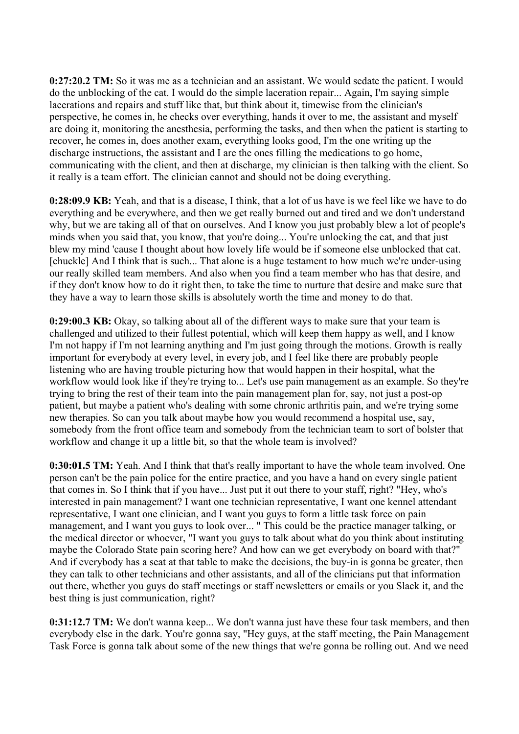**0:27:20.2 TM:** So it was me as a technician and an assistant. We would sedate the patient. I would do the unblocking of the cat. I would do the simple laceration repair... Again, I'm saying simple lacerations and repairs and stuff like that, but think about it, timewise from the clinician's perspective, he comes in, he checks over everything, hands it over to me, the assistant and myself are doing it, monitoring the anesthesia, performing the tasks, and then when the patient is starting to recover, he comes in, does another exam, everything looks good, I'm the one writing up the discharge instructions, the assistant and I are the ones filling the medications to go home, communicating with the client, and then at discharge, my clinician is then talking with the client. So it really is a team effort. The clinician cannot and should not be doing everything.

**0:28:09.9 KB:** Yeah, and that is a disease, I think, that a lot of us have is we feel like we have to do everything and be everywhere, and then we get really burned out and tired and we don't understand why, but we are taking all of that on ourselves. And I know you just probably blew a lot of people's minds when you said that, you know, that you're doing... You're unlocking the cat, and that just blew my mind 'cause I thought about how lovely life would be if someone else unblocked that cat. [chuckle] And I think that is such... That alone is a huge testament to how much we're under-using our really skilled team members. And also when you find a team member who has that desire, and if they don't know how to do it right then, to take the time to nurture that desire and make sure that they have a way to learn those skills is absolutely worth the time and money to do that.

**0:29:00.3 KB:** Okay, so talking about all of the different ways to make sure that your team is challenged and utilized to their fullest potential, which will keep them happy as well, and I know I'm not happy if I'm not learning anything and I'm just going through the motions. Growth is really important for everybody at every level, in every job, and I feel like there are probably people listening who are having trouble picturing how that would happen in their hospital, what the workflow would look like if they're trying to... Let's use pain management as an example. So they're trying to bring the rest of their team into the pain management plan for, say, not just a post-op patient, but maybe a patient who's dealing with some chronic arthritis pain, and we're trying some new therapies. So can you talk about maybe how you would recommend a hospital use, say, somebody from the front office team and somebody from the technician team to sort of bolster that workflow and change it up a little bit, so that the whole team is involved?

**0:30:01.5 TM:** Yeah. And I think that that's really important to have the whole team involved. One person can't be the pain police for the entire practice, and you have a hand on every single patient that comes in. So I think that if you have... Just put it out there to your staff, right? "Hey, who's interested in pain management? I want one technician representative, I want one kennel attendant representative, I want one clinician, and I want you guys to form a little task force on pain management, and I want you guys to look over... " This could be the practice manager talking, or the medical director or whoever, "I want you guys to talk about what do you think about instituting maybe the Colorado State pain scoring here? And how can we get everybody on board with that?" And if everybody has a seat at that table to make the decisions, the buy-in is gonna be greater, then they can talk to other technicians and other assistants, and all of the clinicians put that information out there, whether you guys do staff meetings or staff newsletters or emails or you Slack it, and the best thing is just communication, right?

**0:31:12.7 TM:** We don't wanna keep... We don't wanna just have these four task members, and then everybody else in the dark. You're gonna say, "Hey guys, at the staff meeting, the Pain Management Task Force is gonna talk about some of the new things that we're gonna be rolling out. And we need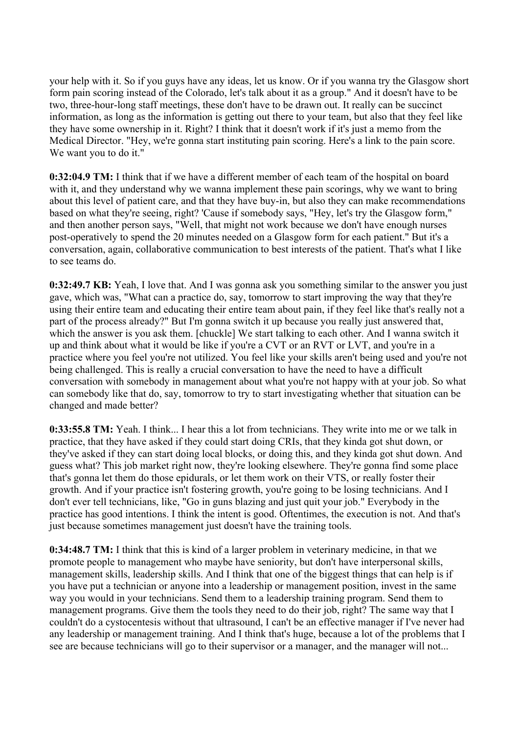your help with it. So if you guys have any ideas, let us know. Or if you wanna try the Glasgow short form pain scoring instead of the Colorado, let's talk about it as a group." And it doesn't have to be two, three-hour-long staff meetings, these don't have to be drawn out. It really can be succinct information, as long as the information is getting out there to your team, but also that they feel like they have some ownership in it. Right? I think that it doesn't work if it's just a memo from the Medical Director. "Hey, we're gonna start instituting pain scoring. Here's a link to the pain score. We want you to do it."

**0:32:04.9 TM:** I think that if we have a different member of each team of the hospital on board with it, and they understand why we wanna implement these pain scorings, why we want to bring about this level of patient care, and that they have buy-in, but also they can make recommendations based on what they're seeing, right? 'Cause if somebody says, "Hey, let's try the Glasgow form," and then another person says, "Well, that might not work because we don't have enough nurses post-operatively to spend the 20 minutes needed on a Glasgow form for each patient." But it's a conversation, again, collaborative communication to best interests of the patient. That's what I like to see teams do.

**0:32:49.7 KB:** Yeah, I love that. And I was gonna ask you something similar to the answer you just gave, which was, "What can a practice do, say, tomorrow to start improving the way that they're using their entire team and educating their entire team about pain, if they feel like that's really not a part of the process already?" But I'm gonna switch it up because you really just answered that, which the answer is you ask them. [chuckle] We start talking to each other. And I wanna switch it up and think about what it would be like if you're a CVT or an RVT or LVT, and you're in a practice where you feel you're not utilized. You feel like your skills aren't being used and you're not being challenged. This is really a crucial conversation to have the need to have a difficult conversation with somebody in management about what you're not happy with at your job. So what can somebody like that do, say, tomorrow to try to start investigating whether that situation can be changed and made better?

**0:33:55.8 TM:** Yeah. I think... I hear this a lot from technicians. They write into me or we talk in practice, that they have asked if they could start doing CRIs, that they kinda got shut down, or they've asked if they can start doing local blocks, or doing this, and they kinda got shut down. And guess what? This job market right now, they're looking elsewhere. They're gonna find some place that's gonna let them do those epidurals, or let them work on their VTS, or really foster their growth. And if your practice isn't fostering growth, you're going to be losing technicians. And I don't ever tell technicians, like, "Go in guns blazing and just quit your job." Everybody in the practice has good intentions. I think the intent is good. Oftentimes, the execution is not. And that's just because sometimes management just doesn't have the training tools.

**0:34:48.7 TM:** I think that this is kind of a larger problem in veterinary medicine, in that we promote people to management who maybe have seniority, but don't have interpersonal skills, management skills, leadership skills. And I think that one of the biggest things that can help is if you have put a technician or anyone into a leadership or management position, invest in the same way you would in your technicians. Send them to a leadership training program. Send them to management programs. Give them the tools they need to do their job, right? The same way that I couldn't do a cystocentesis without that ultrasound, I can't be an effective manager if I've never had any leadership or management training. And I think that's huge, because a lot of the problems that I see are because technicians will go to their supervisor or a manager, and the manager will not...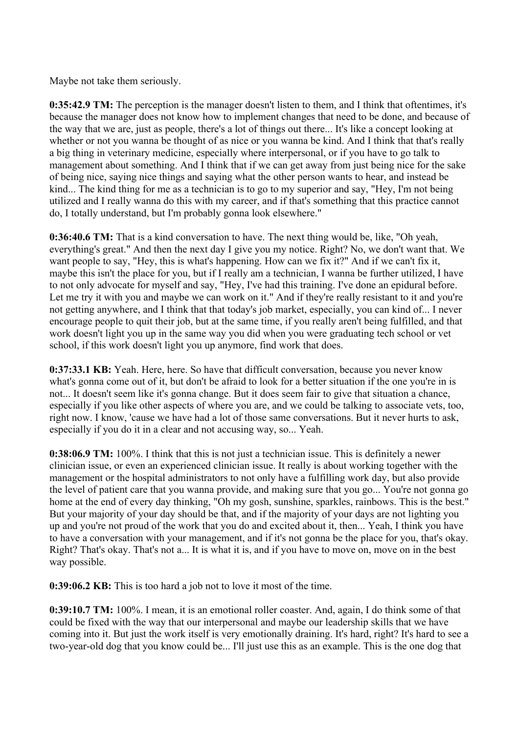Maybe not take them seriously.

**0:35:42.9 TM:** The perception is the manager doesn't listen to them, and I think that oftentimes, it's because the manager does not know how to implement changes that need to be done, and because of the way that we are, just as people, there's a lot of things out there... It's like a concept looking at whether or not you wanna be thought of as nice or you wanna be kind. And I think that that's really a big thing in veterinary medicine, especially where interpersonal, or if you have to go talk to management about something. And I think that if we can get away from just being nice for the sake of being nice, saying nice things and saying what the other person wants to hear, and instead be kind... The kind thing for me as a technician is to go to my superior and say, "Hey, I'm not being utilized and I really wanna do this with my career, and if that's something that this practice cannot do, I totally understand, but I'm probably gonna look elsewhere."

**0:36:40.6 TM:** That is a kind conversation to have. The next thing would be, like, "Oh yeah, everything's great." And then the next day I give you my notice. Right? No, we don't want that. We want people to say, "Hey, this is what's happening. How can we fix it?" And if we can't fix it, maybe this isn't the place for you, but if I really am a technician, I wanna be further utilized, I have to not only advocate for myself and say, "Hey, I've had this training. I've done an epidural before. Let me try it with you and maybe we can work on it." And if they're really resistant to it and you're not getting anywhere, and I think that that today's job market, especially, you can kind of... I never encourage people to quit their job, but at the same time, if you really aren't being fulfilled, and that work doesn't light you up in the same way you did when you were graduating tech school or vet school, if this work doesn't light you up anymore, find work that does.

**0:37:33.1 KB:** Yeah. Here, here. So have that difficult conversation, because you never know what's gonna come out of it, but don't be afraid to look for a better situation if the one you're in is not... It doesn't seem like it's gonna change. But it does seem fair to give that situation a chance, especially if you like other aspects of where you are, and we could be talking to associate vets, too, right now. I know, 'cause we have had a lot of those same conversations. But it never hurts to ask, especially if you do it in a clear and not accusing way, so... Yeah.

**0:38:06.9 TM:** 100%. I think that this is not just a technician issue. This is definitely a newer clinician issue, or even an experienced clinician issue. It really is about working together with the management or the hospital administrators to not only have a fulfilling work day, but also provide the level of patient care that you wanna provide, and making sure that you go... You're not gonna go home at the end of every day thinking, "Oh my gosh, sunshine, sparkles, rainbows. This is the best." But your majority of your day should be that, and if the majority of your days are not lighting you up and you're not proud of the work that you do and excited about it, then... Yeah, I think you have to have a conversation with your management, and if it's not gonna be the place for you, that's okay. Right? That's okay. That's not a... It is what it is, and if you have to move on, move on in the best way possible.

**0:39:06.2 KB:** This is too hard a job not to love it most of the time.

**0:39:10.7 TM:** 100%. I mean, it is an emotional roller coaster. And, again, I do think some of that could be fixed with the way that our interpersonal and maybe our leadership skills that we have coming into it. But just the work itself is very emotionally draining. It's hard, right? It's hard to see a two-year-old dog that you know could be... I'll just use this as an example. This is the one dog that